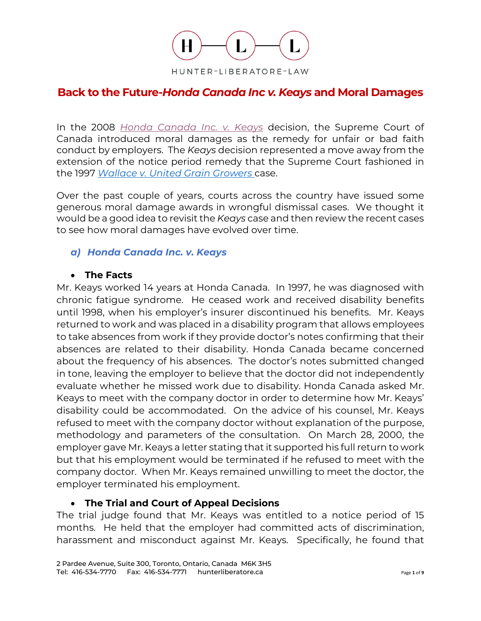

# **Back to the Future-***Honda Canada Inc v. Keays* **and Moral Damages**

In the 2008 *[Honda Canada Inc. v. Keays](https://www.canlii.org/en/ca/scc/doc/2008/2008scc39/2008scc39.html?resultIndex=1)* decision, the Supreme Court of Canada introduced moral damages as the remedy for unfair or bad faith conduct by employers. The *Keays* decision represented a move away from the extension of the notice period remedy that the Supreme Court fashioned in the 1997 *Wallace [v. United Grain](https://www.canlii.org/en/ca/scc/doc/1997/1997canlii332/1997canlii332.html) Growers* case.

Over the past couple of years, courts across the country have issued some generous moral damage awards in wrongful dismissal cases. We thought it would be a good idea to revisit the *Keays* case and then review the recent cases to see how moral damages have evolved over time.

#### *a) Honda Canada Inc. v. Keays*

#### • **The Facts**

Mr. Keays worked 14 years at Honda Canada. In 1997, he was diagnosed with chronic fatigue syndrome. He ceased work and received disability benefits until 1998, when his employer's insurer discontinued his benefits. Mr. Keays returned to work and was placed in a disability program that allows employees to take absences from work if they provide doctor's notes confirming that their absences are related to their disability. Honda Canada became concerned about the frequency of his absences. The doctor's notes submitted changed in tone, leaving the employer to believe that the doctor did not independently evaluate whether he missed work due to disability. Honda Canada asked Mr. Keays to meet with the company doctor in order to determine how Mr. Keays' disability could be accommodated. On the advice of his counsel, Mr. Keays refused to meet with the company doctor without explanation of the purpose, methodology and parameters of the consultation. On March 28, 2000, the employer gave Mr. Keays a letter stating that it supported his full return to work but that his employment would be terminated if he refused to meet with the company doctor. When Mr. Keays remained unwilling to meet the doctor, the employer terminated his employment.

#### • **The Trial and Court of Appeal Decisions**

The trial judge found that Mr. Keays was entitled to a notice period of 15 months. He held that the employer had committed acts of discrimination, harassment and misconduct against Mr. Keays. Specifically, he found that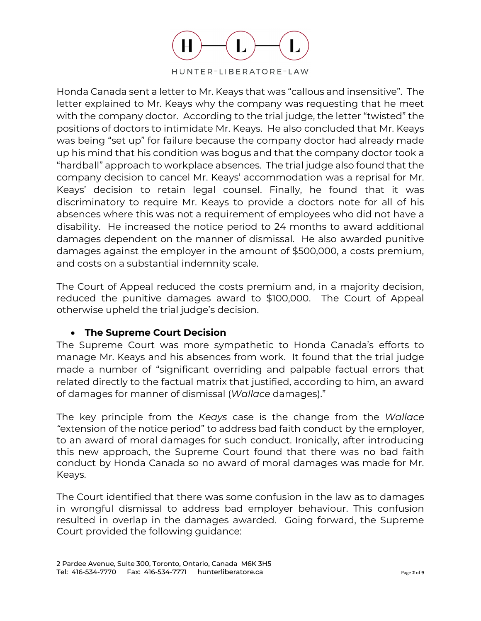

Honda Canada sent a letter to Mr. Keays that was "callous and insensitive". The letter explained to Mr. Keays why the company was requesting that he meet with the company doctor. According to the trial judge, the letter "twisted" the positions of doctors to intimidate Mr. Keays. He also concluded that Mr. Keays was being "set up" for failure because the company doctor had already made up his mind that his condition was bogus and that the company doctor took a "hardball" approach to workplace absences. The trial judge also found that the company decision to cancel Mr. Keays' accommodation was a reprisal for Mr. Keays' decision to retain legal counsel. Finally, he found that it was discriminatory to require Mr. Keays to provide a doctors note for all of his absences where this was not a requirement of employees who did not have a disability. He increased the notice period to 24 months to award additional damages dependent on the manner of dismissal. He also awarded punitive damages against the employer in the amount of \$500,000, a costs premium, and costs on a substantial indemnity scale.

The Court of Appeal reduced the costs premium and, in a majority decision, reduced the punitive damages award to \$100,000. The Court of Appeal otherwise upheld the trial judge's decision.

## • **The Supreme Court Decision**

The Supreme Court was more sympathetic to Honda Canada's efforts to manage Mr. Keays and his absences from work. It found that the trial judge made a number of "significant overriding and palpable factual errors that related directly to the factual matrix that justified, according to him, an award of damages for manner of dismissal (*Wallace* damages)."

The key principle from the *Keays* case is the change from the *Wallace "*extension of the notice period" to address bad faith conduct by the employer, to an award of moral damages for such conduct. Ironically, after introducing this new approach, the Supreme Court found that there was no bad faith conduct by Honda Canada so no award of moral damages was made for Mr. Keays.

The Court identified that there was some confusion in the law as to damages in wrongful dismissal to address bad employer behaviour. This confusion resulted in overlap in the damages awarded. Going forward, the Supreme Court provided the following guidance: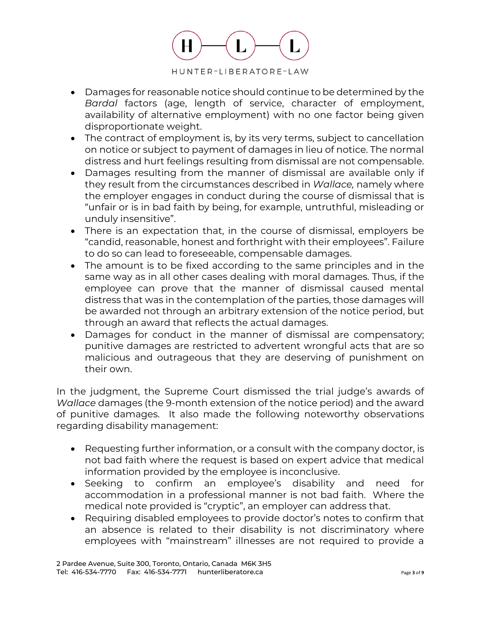

- Damages for reasonable notice should continue to be determined by the *Bardal* factors (age, length of service, character of employment, availability of alternative employment) with no one factor being given disproportionate weight.
- The contract of employment is, by its very terms, subject to cancellation on notice or subject to payment of damages in lieu of notice. The normal distress and hurt feelings resulting from dismissal are not compensable.
- Damages resulting from the manner of dismissal are available only if they result from the circumstances described in *Wallace,* namely where the employer engages in conduct during the course of dismissal that is "unfair or is in bad faith by being, for example, untruthful, misleading or unduly insensitive".
- There is an expectation that, in the course of dismissal, employers be "candid, reasonable, honest and forthright with their employees". Failure to do so can lead to foreseeable, compensable damages.
- The amount is to be fixed according to the same principles and in the same way as in all other cases dealing with moral damages. Thus, if the employee can prove that the manner of dismissal caused mental distress that was in the contemplation of the parties, those damages will be awarded not through an arbitrary extension of the notice period, but through an award that reflects the actual damages.
- Damages for conduct in the manner of dismissal are compensatory; punitive damages are restricted to advertent wrongful acts that are so malicious and outrageous that they are deserving of punishment on their own.

In the judgment, the Supreme Court dismissed the trial judge's awards of *Wallace* damages (the 9-month extension of the notice period) and the award of punitive damages. It also made the following noteworthy observations regarding disability management:

- Requesting further information, or a consult with the company doctor, is not bad faith where the request is based on expert advice that medical information provided by the employee is inconclusive.
- Seeking to confirm an employee's disability and need for accommodation in a professional manner is not bad faith. Where the medical note provided is "cryptic", an employer can address that.
- Requiring disabled employees to provide doctor's notes to confirm that an absence is related to their disability is not discriminatory where employees with "mainstream" illnesses are not required to provide a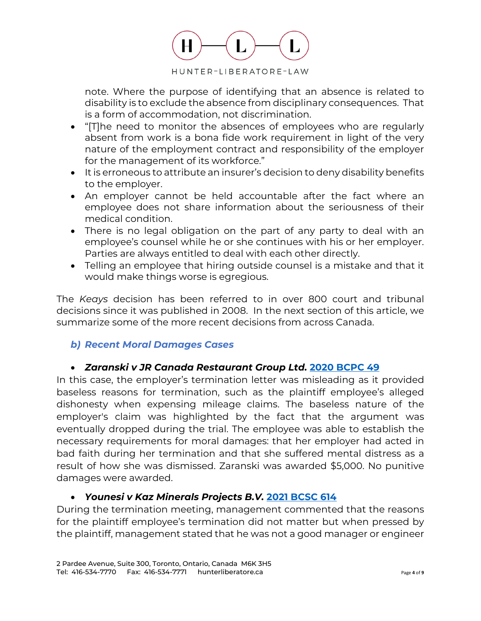

note. Where the purpose of identifying that an absence is related to disability is to exclude the absence from disciplinary consequences. That is a form of accommodation, not discrimination.

- "[T]he need to monitor the absences of employees who are regularly absent from work is a bona fide work requirement in light of the very nature of the employment contract and responsibility of the employer for the management of its workforce."
- It is erroneous to attribute an insurer's decision to deny disability benefits to the employer.
- An employer cannot be held accountable after the fact where an employee does not share information about the seriousness of their medical condition.
- There is no legal obligation on the part of any party to deal with an employee's counsel while he or she continues with his or her employer. Parties are always entitled to deal with each other directly.
- Telling an employee that hiring outside counsel is a mistake and that it would make things worse is egregious.

The *Keays* decision has been referred to in over 800 court and tribunal decisions since it was published in 2008. In the next section of this article, we summarize some of the more recent decisions from across Canada.

## *b) Recent Moral Damages Cases*

## • *Zaranski v JR Canada Restaurant Group Ltd.* **[2020 BCPC 49](https://www.canlii.org/en/bc/bcpc/doc/2020/2020bcpc49/2020bcpc49.html?autocompleteStr=Zaranski%20v%20JR%20Canada%20Restaurant%20Group%20Ltd&autocompletePos=1)**

In this case, the employer's termination letter was misleading as it provided baseless reasons for termination, such as the plaintiff employee's alleged dishonesty when expensing mileage claims. The baseless nature of the employer's claim was highlighted by the fact that the argument was eventually dropped during the trial. The employee was able to establish the necessary requirements for moral damages: that her employer had acted in bad faith during her termination and that she suffered mental distress as a result of how she was dismissed. Zaranski was awarded \$5,000. No punitive damages were awarded.

## • *Younesi v Kaz Minerals Projects B.V.* **[2021 BCSC 614](https://www.canlii.org/en/bc/bcsc/doc/2021/2021bcsc614/2021bcsc614.html?autocompleteStr=Younesi%20v%20Kaz%20Minerals%20Projects%20B.V.&autocompletePos=1)**

During the termination meeting, management commented that the reasons for the plaintiff employee's termination did not matter but when pressed by the plaintiff, management stated that he was not a good manager or engineer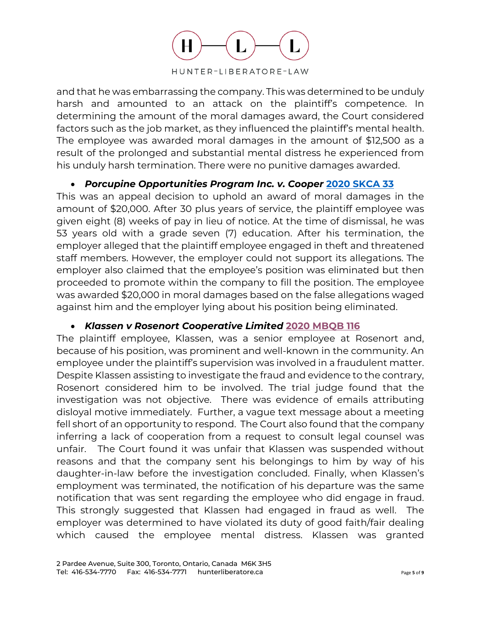

and that he was embarrassing the company. This was determined to be unduly harsh and amounted to an attack on the plaintiff's competence. In determining the amount of the moral damages award, the Court considered factors such as the job market, as they influenced the plaintiff's mental health. The employee was awarded moral damages in the amount of \$12,500 as a result of the prolonged and substantial mental distress he experienced from his unduly harsh termination. There were no punitive damages awarded.

#### • *Porcupine Opportunities Program Inc. v. Cooper* **[2020 SKCA 33](https://www.canlii.org/en/sk/skca/doc/2020/2020skca33/2020skca33.html?autocompleteStr=Porcupine%20Opportunities%20Program%20Inc.%20v.%20Cooper&autocompletePos=1#document)**

This was an appeal decision to uphold an award of moral damages in the amount of \$20,000. After 30 plus years of service, the plaintiff employee was given eight (8) weeks of pay in lieu of notice. At the time of dismissal, he was 53 years old with a grade seven (7) education. After his termination, the employer alleged that the plaintiff employee engaged in theft and threatened staff members. However, the employer could not support its allegations. The employer also claimed that the employee's position was eliminated but then proceeded to promote within the company to fill the position. The employee was awarded \$20,000 in moral damages based on the false allegations waged against him and the employer lying about his position being eliminated.

## • *Klassen v Rosenort Cooperative Limited* **[2020 MBQB 116](https://www.canlii.org/en/mb/mbqb/doc/2020/2020mbqb116/2020mbqb116.html?autocompleteStr=Klassen%20v%20Rosenort%20Cooperative%20Limited%20&autocompletePos=1)**

The plaintiff employee, Klassen, was a senior employee at Rosenort and, because of his position, was prominent and well-known in the community. An employee under the plaintiff's supervision was involved in a fraudulent matter. Despite Klassen assisting to investigate the fraud and evidence to the contrary, Rosenort considered him to be involved. The trial judge found that the investigation was not objective. There was evidence of emails attributing disloyal motive immediately. Further, a vague text message about a meeting fell short of an opportunity to respond. The Court also found that the company inferring a lack of cooperation from a request to consult legal counsel was unfair. The Court found it was unfair that Klassen was suspended without reasons and that the company sent his belongings to him by way of his daughter-in-law before the investigation concluded. Finally, when Klassen's employment was terminated, the notification of his departure was the same notification that was sent regarding the employee who did engage in fraud. This strongly suggested that Klassen had engaged in fraud as well. The employer was determined to have violated its duty of good faith/fair dealing which caused the employee mental distress. Klassen was granted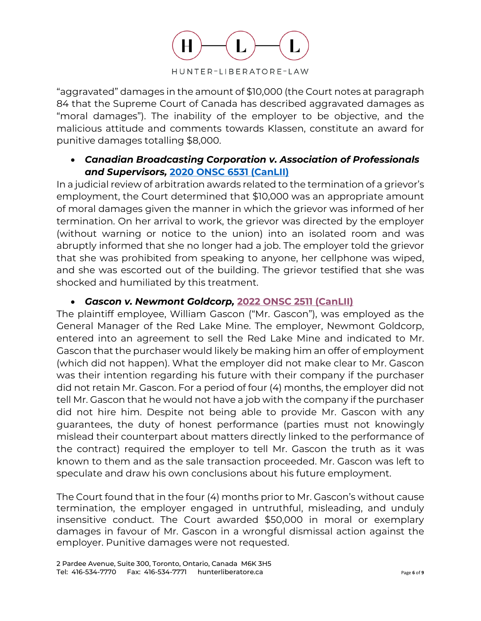

"aggravated" damages in the amount of \$10,000 (the Court notes at paragraph 84 that the Supreme Court of Canada has described aggravated damages as "moral damages"). The inability of the employer to be objective, and the malicious attitude and comments towards Klassen, constitute an award for punitive damages totalling \$8,000.

## • *Canadian Broadcasting Corporation v. Association of Professionals and Supervisors,* **[2020 ONSC 6531 \(CanLII\)](https://www.canlii.org/en/on/onscdc/doc/2020/2020onsc6531/2020onsc6531.html?autocompleteStr=2020%20ONSC%206531&autocompletePos=1)**

In a judicial review of arbitration awards related to the termination of a grievor's employment, the Court determined that \$10,000 was an appropriate amount of moral damages given the manner in which the grievor was informed of her termination. On her arrival to work, the grievor was directed by the employer (without warning or notice to the union) into an isolated room and was abruptly informed that she no longer had a job. The employer told the grievor that she was prohibited from speaking to anyone, her cellphone was wiped, and she was escorted out of the building. The grievor testified that she was shocked and humiliated by this treatment.

## • *Gascon v. Newmont Goldcorp,* **[2022 ONSC 2511 \(CanLII\)](https://www.canlii.org/en/on/onsc/doc/2022/2022onsc2511/2022onsc2511.html)**

The plaintiff employee, William Gascon ("Mr. Gascon"), was employed as the General Manager of the Red Lake Mine. The employer, Newmont Goldcorp, entered into an agreement to sell the Red Lake Mine and indicated to Mr. Gascon that the purchaser would likely be making him an offer of employment (which did not happen). What the employer did not make clear to Mr. Gascon was their intention regarding his future with their company if the purchaser did not retain Mr. Gascon. For a period of four (4) months, the employer did not tell Mr. Gascon that he would not have a job with the company if the purchaser did not hire him. Despite not being able to provide Mr. Gascon with any guarantees, the duty of honest performance (parties must not knowingly mislead their counterpart about matters directly linked to the performance of the contract) required the employer to tell Mr. Gascon the truth as it was known to them and as the sale transaction proceeded. Mr. Gascon was left to speculate and draw his own conclusions about his future employment.

The Court found that in the four (4) months prior to Mr. Gascon's without cause termination, the employer engaged in untruthful, misleading, and unduly insensitive conduct. The Court awarded \$50,000 in moral or exemplary damages in favour of Mr. Gascon in a wrongful dismissal action against the employer. Punitive damages were not requested.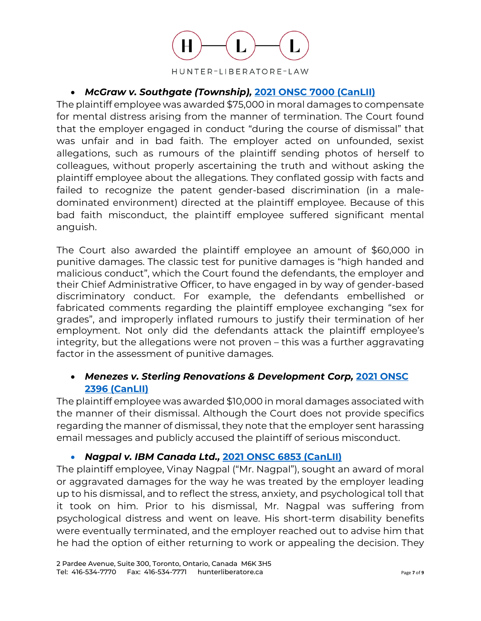

## • *McGraw v. Southgate (Township),* **[2021 ONSC 7000 \(CanLII\)](https://www.canlii.org/en/on/onsc/doc/2021/2021onsc7000/2021onsc7000.html?autocompleteStr=mcgraw%20v.%20southgat&autocompletePos=2)**

The plaintiff employee was awarded \$75,000 in moral damages to compensate for mental distress arising from the manner of termination. The Court found that the employer engaged in conduct "during the course of dismissal" that was unfair and in bad faith. The employer acted on unfounded, sexist allegations, such as rumours of the plaintiff sending photos of herself to colleagues, without properly ascertaining the truth and without asking the plaintiff employee about the allegations. They conflated gossip with facts and failed to recognize the patent gender-based discrimination (in a maledominated environment) directed at the plaintiff employee. Because of this bad faith misconduct, the plaintiff employee suffered significant mental anguish.

The Court also awarded the plaintiff employee an amount of \$60,000 in punitive damages. The classic test for punitive damages is "high handed and malicious conduct", which the Court found the defendants, the employer and their Chief Administrative Officer, to have engaged in by way of gender-based discriminatory conduct. For example, the defendants embellished or fabricated comments regarding the plaintiff employee exchanging "sex for grades", and improperly inflated rumours to justify their termination of her employment. Not only did the defendants attack the plaintiff employee's integrity, but the allegations were not proven – this was a further aggravating factor in the assessment of punitive damages.

## • *Menezes v. Sterling Renovations & Development Corp,* **[2021 ONSC](https://www.canlii.org/en/on/onsc/doc/2021/2021onsc2396/2021onsc2396.html?autocompleteStr=2021%20ONSC%202396&autocompletePos=1)  [2396 \(CanLII\)](https://www.canlii.org/en/on/onsc/doc/2021/2021onsc2396/2021onsc2396.html?autocompleteStr=2021%20ONSC%202396&autocompletePos=1)**

The plaintiff employee was awarded \$10,000 in moral damages associated with the manner of their dismissal. Although the Court does not provide specifics regarding the manner of dismissal, they note that the employer sent harassing email messages and publicly accused the plaintiff of serious misconduct.

• *Nagpal v. IBM Canada Ltd.,* **[2021 ONSC 6853 \(CanLII\)](https://www.canlii.org/en/on/onsc/doc/2021/2021onsc6853/2021onsc6853.html?autocompleteStr=2021%20ONSC%206853&autocompletePos=1)**

The plaintiff employee, Vinay Nagpal ("Mr. Nagpal"), sought an award of moral or aggravated damages for the way he was treated by the employer leading up to his dismissal, and to reflect the stress, anxiety, and psychological toll that it took on him. Prior to his dismissal, Mr. Nagpal was suffering from psychological distress and went on leave. His short-term disability benefits were eventually terminated, and the employer reached out to advise him that he had the option of either returning to work or appealing the decision. They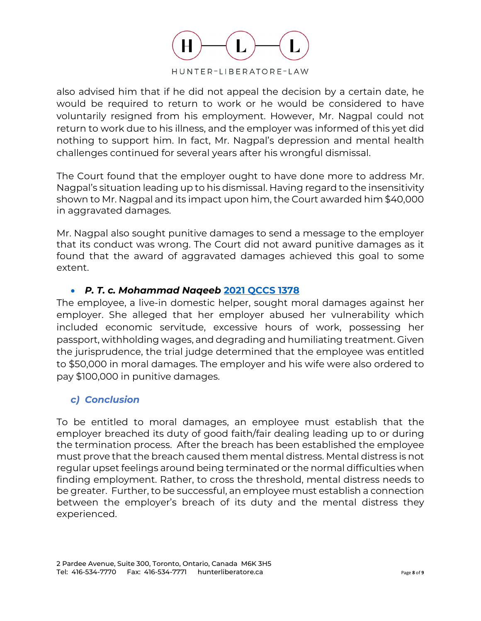

also advised him that if he did not appeal the decision by a certain date, he would be required to return to work or he would be considered to have voluntarily resigned from his employment. However, Mr. Nagpal could not return to work due to his illness, and the employer was informed of this yet did nothing to support him. In fact, Mr. Nagpal's depression and mental health challenges continued for several years after his wrongful dismissal.

The Court found that the employer ought to have done more to address Mr. Nagpal's situation leading up to his dismissal. Having regard to the insensitivity shown to Mr. Nagpal and its impact upon him, the Court awarded him \$40,000 in aggravated damages.

Mr. Nagpal also sought punitive damages to send a message to the employer that its conduct was wrong. The Court did not award punitive damages as it found that the award of aggravated damages achieved this goal to some extent.

## • *P. T. c. Mohammad Naqeeb* **[2021 QCCS 1378](https://www.canlii.org/en/qc/qccs/doc/2021/2021qccs1378/2021qccs1378.html?resultIndex=1)**

The employee, a live-in domestic helper, sought moral damages against her employer. She alleged that her employer abused her vulnerability which included economic servitude, excessive hours of work, possessing her passport, withholding wages, and degrading and humiliating treatment. Given the jurisprudence, the trial judge determined that the employee was entitled to \$50,000 in moral damages. The employer and his wife were also ordered to pay \$100,000 in punitive damages.

## *c) Conclusion*

To be entitled to moral damages, an employee must establish that the employer breached its duty of good faith/fair dealing leading up to or during the termination process. After the breach has been established the employee must prove that the breach caused them mental distress. Mental distress is not regular upset feelings around being terminated or the normal difficulties when finding employment. Rather, to cross the threshold, mental distress needs to be greater. Further, to be successful, an employee must establish a connection between the employer's breach of its duty and the mental distress they experienced.